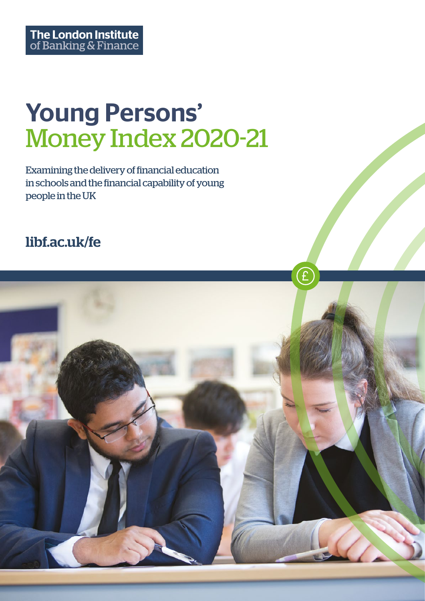# Young Persons' Money Index 2020-21

Examining the delivery of financial education in schools and the financial capability of young people in the UK

## [libf.ac.uk/fe](https://www.libf.ac.uk/study/financial-education/qualifications)

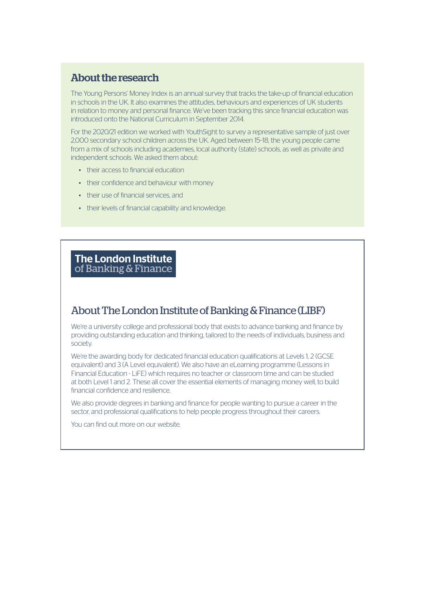#### About the research

The Young Persons' Money Index is an annual survey that tracks the take-up of financial education in schools in the UK. It also examines the attitudes, behaviours and experiences of UK students in relation to money and personal finance. We've been tracking this since financial education was introduced onto the National Curriculum in September 2014.

For the 2020/21 edition we worked with YouthSight to survey a representative sample of just over 2,000 secondary school children across the UK. Aged between 15–18, the young people came from a mix of schools including academies, local authority (state) schools, as well as private and independent schools. We asked them about:

- their access to financial education
- their confidence and behaviour with money
- their use of financial services, and
- their levels of financial capability and knowledge.

#### **The London Institute** of Banking & Finance

### About The London Institute of Banking & Finance (LIBF)

We're a university college and professional body that exists to advance banking and finance by providing outstanding education and thinking, tailored to the needs of individuals, business and society.

We're the awarding body for dedicated financial education qualifications at Levels 1, 2 (GCSE equivalent) and 3 (A Level equivalent). We also have an eLearning programme (Lessons in Financial Education - LiFE) which requires no teacher or classroom time and can be studied at both Level 1 and 2. These all cover the essential elements of managing money well, to build financial confidence and resilience.

We also provide degrees in banking and finance for people wanting to pursue a career in the sector, and professional qualifications to help people progress throughout their careers.

You can find out more on our website.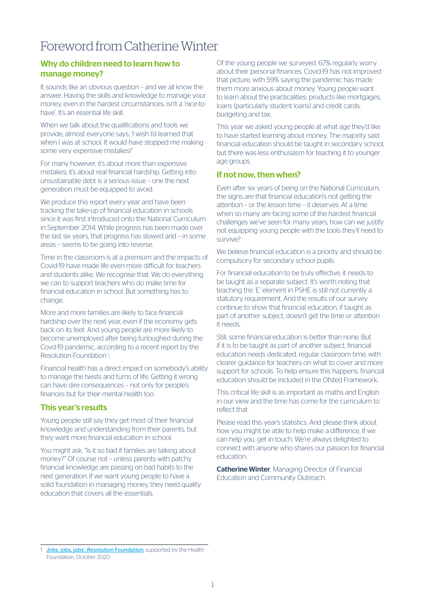### Foreword from Catherine Winter

#### Why do children need to learn how to manage money?

It sounds like an obvious question – and we all know the answer. Having the skills and knowledge to manage your money, even in the hardest circumstances, isn't a 'nice-tohave'. It's an essential life skill.

When we talk about the qualifications and tools we provide, almost everyone says: 'I wish I'd learned that when I was at school. It would have stopped me making some very expensive mistakes!"

For many however, it's about more than expensive mistakes; it's about real financial hardship. Getting into unsustainable debt is a serious issue – one the next generation must be equipped to avoid.

We produce this report every year and have been tracking the take-up of financial education in schools since it was first introduced onto the National Curriculum in September 2014. While progress has been made over the last six years, that progress has slowed and – in some areas – seems to be going into reverse.

Time in the classroom is at a premium and the impacts of Covid-19 have made life even more difficult for teachers and students alike. We recognise that. We do everything we can to support teachers who do make time for financial education in school. But something has to change.

More and more families are likely to face financial hardship over the next year, even if the economy gets back on its feet. And young people are more likely to become unemployed after being furloughed during the Covd-19 pandemic, according to a recent report by the Resolution Foundation 1 .

Financial health has a direct impact on somebody's ability to manage the twists and turns of life. Getting it wrong can have dire consequences – not only for people's finances but for their mental health too.

#### This year's results

Young people still say they get most of their financial knowledge and understanding from their parents, but they want more financial education in school.

You might ask, "Is it so bad if families are talking about money?" Of course not – unless parents with patchy financial knowledge are passing on bad habits to the next generation. If we want young people to have a solid foundation in managing money, they need quality education that covers all the essentials.

Of the young people we surveyed, 67% regularly worry about their personal finances. Covid-19 has not improved that picture, with 59% saying the pandemic has made them more anxious about money. Young people want to learn about the practicalities: products like mortgages, loans (particularly student loans) and credit cards; budgeting and tax.

This year we asked young people at what age they'd like to have started learning about money. The majority said financial education should be taught in secondary school, but there was less enthusiasm for teaching it to younger age groups.

#### If not now, then when?

Even after six years of being on the National Curriculum, the signs are that financial education's not getting the attention – or the lesson time – it deserves. At a time when so many are facing some of the hardest financial challenges we've seen for many years, how can we justify not equipping young people with the tools they'll need to survive?

We believe financial education is a priority and should be compulsory for secondary school pupils.

For financial education to be truly effective, it needs to be taught as a separate subject. It's worth noting that teaching the 'E' element in PSHE is still not currently a statutory requirement. And the results of our survey continue to show that financial education, if taught as part of another subject, doesn't get the time or attention it needs.

Still, some financial education is better than none. But if it is to be taught as part of another subject, financial education needs dedicated, regular classroom time, with clearer guidance for teachers on what to cover and more support for schools. To help ensure this happens, financial education should be included in the Ofsted Framework.

This critical life skill is as important as maths and English in our view and the time has come for the curriculum to reflect that.

Please read this year's statistics. And please think about how you might be able to help make a difference. If we can help you, get in touch. We're always delighted to connect with anyone who shares our passion for financial education.

**Catherine Winter, Managing Director of Financial** Education and Community Outreach.

[Jobs, jobs, jobs', Resolution Foundation](https://www.resolutionfoundation.org/publications/jobs-jobs-jobs/), supported by the Health Foundation, October 2020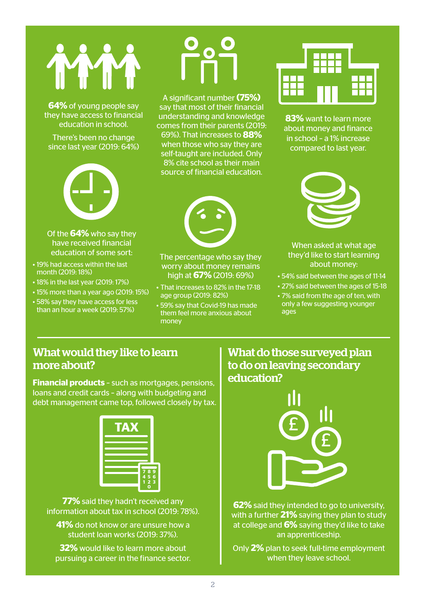

**64%** of young people say they have access to financial education in school.

There's been no change since last year (2019: 64%)



Of the **64%** who say they have received financial education of some sort:

- 19% had access within the last month (2019: 18%)
- 18% in the last year (2019: 17%)
- 15% more than a year ago (2019: 15%)
- 58% say they have access for less than an hour a week (2019: 57%)

A significant number **(75%)** say that most of their financial understanding and knowledge comes from their parents (2019: 69%). That increases to **88%** when those who say they are self-taught are included. Only 8% cite school as their main source of financial education.



The percentage who say they worry about money remains high at **67%** (2019: 69%)

- That increases to 82% in the 17-18 age group (2019: 82%)
- 59% say that Covid-19 has made them feel more anxious about money



**83%** want to learn more about money and finance in school – a 1% increase compared to last year.



#### When asked at what age they'd like to start learning about money:

- 54% said between the ages of 11-14
- 27% said between the ages of 15-18
- 7% said from the age of ten, with only a few suggesting younger ages

### What would they like to learn more about?

**Financial products** – such as mortgages, pensions, loans and credit cards – along with budgeting and debt management came top, followed closely by tax.



**77%** said they hadn't received any information about tax in school (2019: 78%).

**41%** do not know or are unsure how a student loan works (2019: 37%).

**32%** would like to learn more about pursuing a career in the finance sector.

### What do those surveyed plan to do on leaving secondary education?



**62%** said they intended to go to university, with a further **21%** saying they plan to study at college and **6%** saying they'd like to take an apprenticeship.

Only **2%** plan to seek full-time employment when they leave school.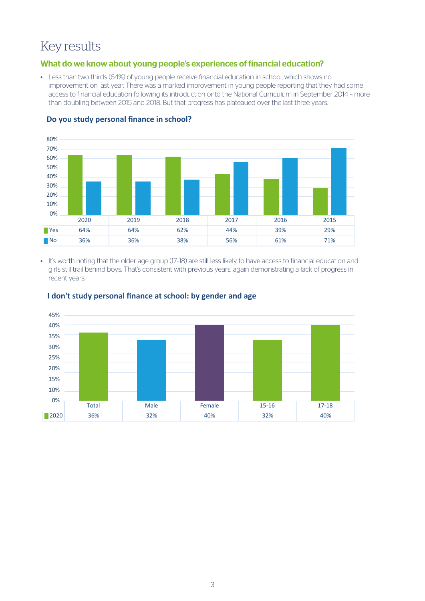### Key results

#### What do we know about young people's experiences of financial education?

• Less than two-thirds (64%) of young people receive financial education in school, which shows no improvement on last year. There was a marked improvement in young people reporting that they had some access to financial education following its introduction onto the National Curriculum in September 2014 - more than doubling between 2015 and 2018. But that progress has plateaued over the last three years.



#### **Do you study personal finance in school?** 70%

• It's worth noting that the older age group (17–18) are still less likely to have access to financial education and girls still trail behind boys. That's consistent with previous years, again demonstrating a lack of progress in recent years.



#### **I don't study personal finance at school: by gender and age**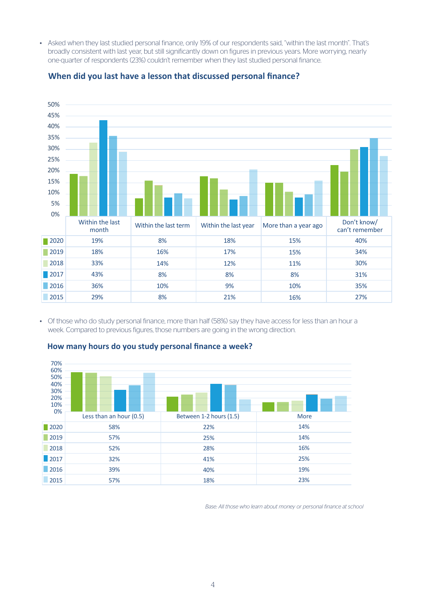• Asked when they last studied personal finance, only 19% of our respondents said, "within the last month". That's broadly consistent with last year, but still significantly down on figures in previous years. More worrying, nearly one-quarter of respondents (23%) couldn't remember when they last studied personal finance.



#### **When did you last have a lesson that discussed personal finance?**

• Of those who do study personal finance, more than half (58%) say they have access for less than an hour a week. Compared to previous figures, those numbers are going in the wrong direction.



#### **How many hours do you study personal finance a week?**

*Base: All those who learn about money or personal finance at school*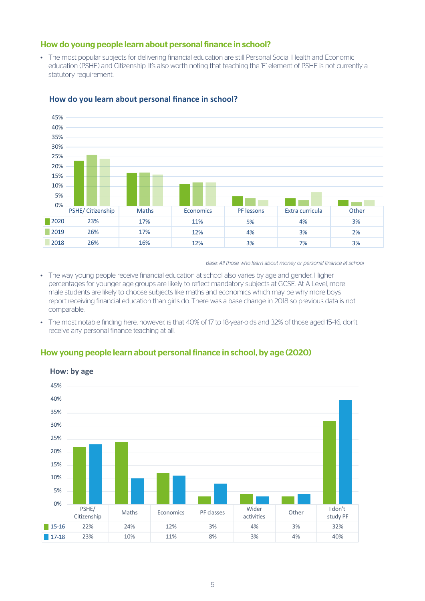#### How do young people learn about personal finance in school?

• The most popular subjects for delivering financial education are still Personal Social Health and Economic education (PSHE) and Citizenship. It's also worth noting that teaching the 'E' element of PSHE is not currently a statutory requirement.



#### **How do you learn about personal finance in school?**

*Base: All those who learn about money or personal finance at school*

- The way young people receive financial education at school also varies by age and gender. Higher percentages for younger age groups are likely to reflect mandatory subjects at GCSE. At A Level, more male students are likely to choose subjects like maths and economics which may be why more boys report receiving financial education than girls do. There was a base change in 2018 so previous data is not comparable.
- The most notable finding here, however, is that 40% of 17 to 18-year-olds and 32% of those aged 15–16, don't receive any personal finance teaching at all.

#### How young people learn about personal finance in school, by age (2020)

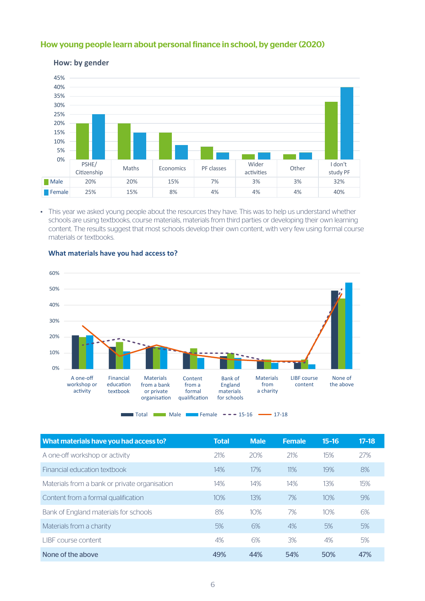#### How young people learn about personal finance in school, by gender (2020)



#### **How: by gender**

• This year we asked young people about the resources they have. This was to help us understand whether schools are using textbooks, course materials, materials from third parties or developing their own learning content. The results suggest that most schools develop their own content, with very few using formal course materials or textbooks.



#### **What materials have you had access to?**

 $\blacksquare$  Total  $\blacksquare$  Male  $\blacksquare$  Female  $\blacksquare$  =  $\blacksquare$  15-16  $\blacksquare$  17-18

| What materials have you had access to?        | <b>Total</b> | <b>Male</b> | <b>Female</b> | $15 - 16$ | $17 - 18$ |
|-----------------------------------------------|--------------|-------------|---------------|-----------|-----------|
| A one-off workshop or activity                | 21%          | 20%         | 21%           | 15%       | 27%       |
| Financial education textbook                  | 14%          | 17%         | 11%           | 19%       | 8%        |
| Materials from a bank or private organisation | 14%          | 14%         | 14%           | 13%       | 15%       |
| Content from a formal qualification           | 10%          | 13%         | 7%            | 10%       | 9%        |
| Bank of England materials for schools         | 8%           | 10%         | 7%            | 10%       | 6%        |
| Materials from a charity                      | 5%           | 6%          | 4%            | 5%        | 5%        |
| I IBE course content                          | 4%           | 6%          | 3%            | 4%        | 5%        |
| None of the above                             | 49%          | 44%         | 54%           | 50%       | 47%       |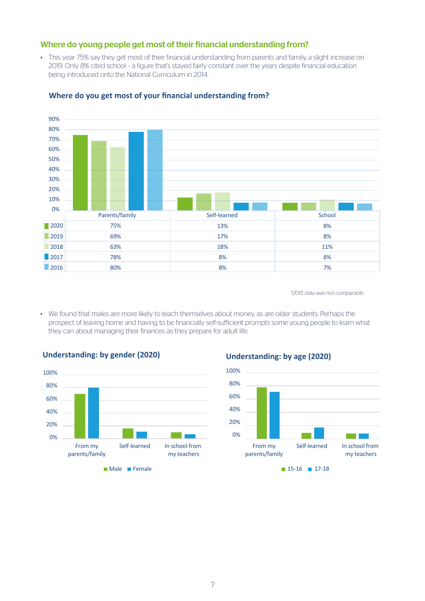#### Where do young people get most of their financial understanding from?

• This year 75% say they get most of their financial understanding from parents and family, a slight increase on 2019. Only 8% cited school – a figure that's stayed fairly constant over the years despite financial education being introduced onto the National Curriculum in 2014.



#### **Where do you get most of your financial understanding from?**

*\*2015 data was not comparable.* 

• We found that males are more likely to teach themselves about money, as are older students. Perhaps the prospect of leaving home and having to be financially self-sufficient prompts some young people to learn what they can about managing their finances as they prepare for adult life.



#### **Understanding: by gender (2020) Understanding: by age (2020) Understanding: by gender (2020) Understanding: by age (2020)**

 $\blacksquare$  Male  $\blacksquare$  Female 17-18

### 100%

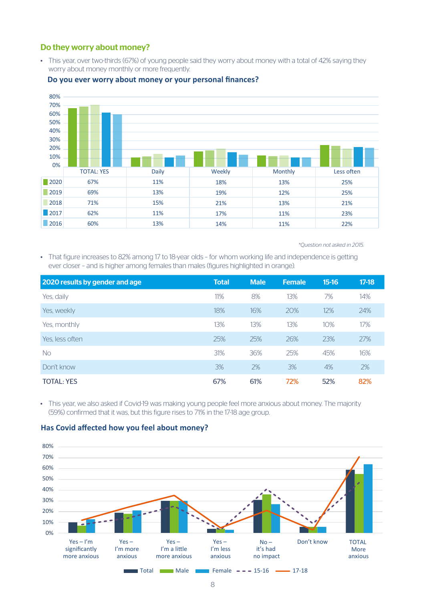#### Do they worry about money?

• This year, over two-thirds (67%) of young people said they worry about money with a total of 42% saying they worry about money monthly or more frequently.



#### **Do you ever worry about money or your personal finances?**

 *\*Question not asked in 2015.* 

• That figure increases to 82% among 17 to 18-year olds – for whom working life and independence is getting ever closer – and is higher among females than males (figures highlighted in orange).

| 2020 results by gender and age | <b>Total</b> | <b>Male</b> | <b>Female</b> | $15-16$ | $17-18$ |
|--------------------------------|--------------|-------------|---------------|---------|---------|
| Yes, daily                     | 11%          | 8%          | 13%           | 7%      | 14%     |
| Yes, weekly                    | 18%          | 16%         | 20%           | 12%     | 24%     |
| Yes, monthly                   | 13%          | 13%         | 13%           | 10%     | 17%     |
| Yes, less often                | 25%          | 25%         | 26%           | 23%     | 27%     |
| <b>No</b>                      | 31%          | 36%         | 25%           | 45%     | 16%     |
| Don't know                     | 3%           | 2%          | 3%            | 4%      | 2%      |
| <b>TOTAL: YES</b>              | 67%          | 61%         | 72%           | 52%     | 82%     |

• This year, we also asked if Covid-19 was making young people feel more anxious about money. The majority (59%) confirmed that it was, but this figure rises to 71% in the 17-18 age group.

#### **Has Covid affected how you feel about money?**

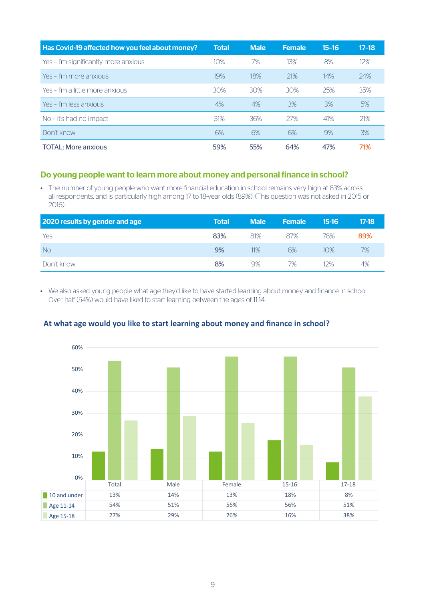| Has Covid-19 affected how you feel about money? | <b>Total</b> | <b>Male</b> | <b>Female</b> | $15 - 16$ | $17 - 18$ |
|-------------------------------------------------|--------------|-------------|---------------|-----------|-----------|
| Yes - I'm significantly more anxious            | 10%          | 7%          | 13%           | 8%        | 12%       |
| Yes - I'm more anxious                          | 19%          | 18%         | 21%           | 14%       | 24%       |
| Yes - I'm a little more anxious                 | 30%          | 30%         | 30%           | 25%       | 35%       |
| Yes - I'm less anxious                          | 4%           | 4%          | 3%            | 3%        | 5%        |
| No - it's had no impact                         | 31%          | 36%         | 27%           | 41%       | 21%       |
| Don't know                                      | 6%           | 6%          | 6%            | 9%        | 3%        |
| <b>TOTAL: More anxious</b>                      | 59%          | 55%         | 64%           | 47%       | 71%       |

#### Do young people want to learn more about money and personal finance in school?

• The number of young people who want more financial education in school remains very high at 83% across all respondents, and is particularly high among 17 to 18-year olds (89%). (This question was not asked in 2015 or 2016).

| 2020 results by gender and age | <b>Total</b> | <b>Male</b> | <b>Female</b> | 15-16 | $17-18$ |
|--------------------------------|--------------|-------------|---------------|-------|---------|
| Yes                            | 83%          | 81%         | 87%           | 78%   | 89%     |
| <b>No</b>                      | 9%           | 11%         | 6%            | 10%   | 7%      |
| Don't know                     | 8%           | 9%          | 7%            | 12%   | 4%      |

• We also asked young people what age they'd like to have started learning about money and finance in school. Over half (54%) would have liked to start learning between the ages of 11-14.



#### **At what age would you like to start learning about money and finance in school?**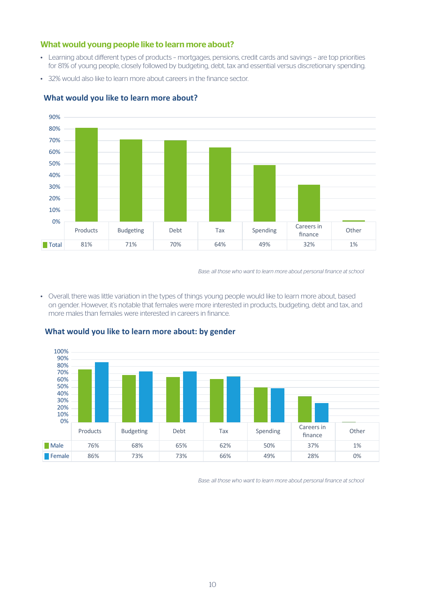#### What would young people like to learn more about?

- Learning about different types of products mortgages, pensions, credit cards and savings are top priorities for 81% of young people, closely followed by budgeting, debt, tax and essential versus discretionary spending.
- 32% would also like to learn more about careers in the finance sector.



#### **What would you like to learn more about?**

*Base: all those who want to learn more about personal finance at school*

• Overall, there was little variation in the types of things young people would like to learn more about, based on gender. However, it's notable that females were more interested in products, budgeting, debt and tax, and more males than females were interested in careers in finance.



#### **What would you like to learn more about: by gender**

*Base: all those who want to learn more about personal finance at school*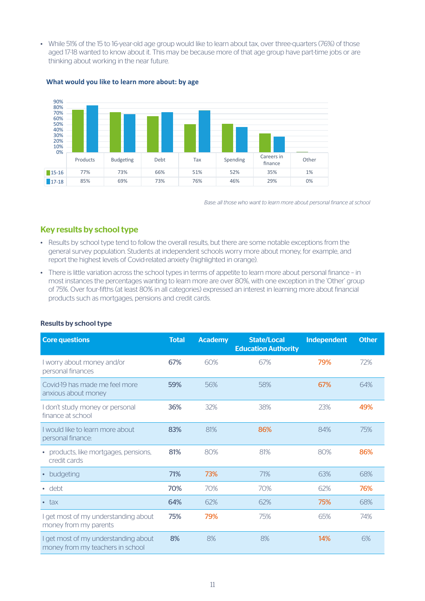• While 51% of the 15 to 16-year-old age group would like to learn about tax, over three-quarters (76%) of those aged 17-18 wanted to know about it. This may be because more of that age group have part-time jobs or are thinking about working in the near future.



#### **What would you like to learn more about: by age**

*Base: all those who want to learn more about personal finance at school*

#### Key results by school type

- Results by school type tend to follow the overall results, but there are some notable exceptions from the general survey population. Students at independent schools worry more about money, for example, and report the highest levels of Covid-related anxiety (highlighted in orange).
- There is little variation across the school types in terms of appetite to learn more about personal finance in most instances the percentages wanting to learn more are over 80%, with one exception in the 'Other' group of 75%. Over four-fifths (at least 80% in all categories) expressed an interest in learning more about financial products such as mortgages, pensions and credit cards.

| <b>Core questions</b>                                                    | <b>Total</b> | <b>Academy</b> | <b>State/Local</b><br><b>Education Authority</b> | <b>Independent</b> | <b>Other</b> |
|--------------------------------------------------------------------------|--------------|----------------|--------------------------------------------------|--------------------|--------------|
| I worry about money and/or<br>personal finances                          | 67%          | 60%            | 67%                                              | 79%                | 72%          |
| Covid-19 has made me feel more<br>anxious about money                    | 59%          | 56%            | 58%                                              | 67%                | 64%          |
| I don't study money or personal<br>finance at school                     | 36%          | 32%            | 38%                                              | 23%                | 49%          |
| I would like to learn more about<br>personal finance:                    | 83%          | 81%            | 86%                                              | 84%                | 75%          |
| • products, like mortgages, pensions,<br>credit cards                    | 81%          | 80%            | 81%                                              | 80%                | 86%          |
| budgeting<br>$\bullet$                                                   | 71%          | 73%            | 71%                                              | 63%                | 68%          |
| $\cdot$ debt                                                             | 70%          | 70%            | 70%                                              | 62%                | 76%          |
| $\bullet$ tax                                                            | 64%          | 62%            | 62%                                              | 75%                | 68%          |
| I get most of my understanding about<br>money from my parents            | 75%          | 79%            | 75%                                              | 65%                | 74%          |
| I get most of my understanding about<br>money from my teachers in school | 8%           | 8%             | 8%                                               | 14%                | 6%           |

#### Results by school type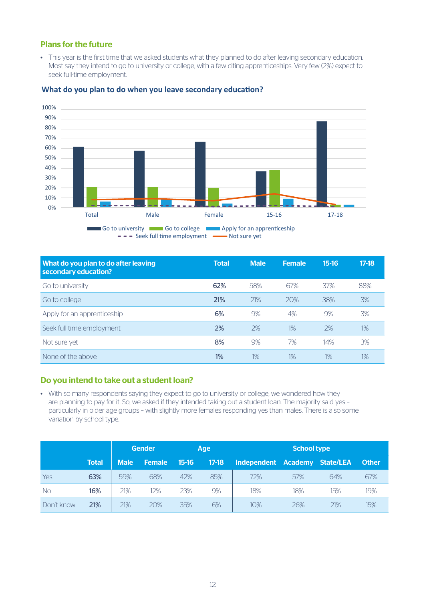#### Plans for the future

• This year is the first time that we asked students what they planned to do after leaving secondary education. Most say they intend to go to university or college, with a few citing apprenticeships. Very few (2%) expect to seek full-time employment.



#### **What do you plan to do when you leave secondary education?**

| What do you plan to do after leaving<br>secondary education? | <b>Total</b> | <b>Male</b> | <b>Female</b> | $15-16$ | $17-18$ |
|--------------------------------------------------------------|--------------|-------------|---------------|---------|---------|
| Go to university                                             | 62%          | 58%         | 67%           | 37%     | 88%     |
| Go to college                                                | 21%          | 21%         | 20%           | 38%     | 3%      |
| Apply for an apprenticeship                                  | 6%           | 9%          | 4%            | 9%      | 3%      |
| Seek full time employment                                    | 2%           | 2%          | 1%            | 2%      | $1\%$   |
| Not sure yet                                                 | 8%           | 9%          | 7%            | 14%     | 3%      |
| None of the above                                            | 1%           | 1%          | 1%            | $1\%$   | 1%      |

#### Do you intend to take out a student loan?

• With so many respondents saying they expect to go to university or college, we wondered how they are planning to pay for it. So, we asked if they intended taking out a student loan. The majority said yes – particularly in older age groups – with slightly more females responding yes than males. There is also some variation by school type.

|            |              |             | <b>Gender</b> | Age   |         |                     |     |                  |              |
|------------|--------------|-------------|---------------|-------|---------|---------------------|-----|------------------|--------------|
|            | <b>Total</b> | <b>Male</b> | <b>Female</b> | 15-16 | $17-18$ | Independent Academy |     | <b>State/LEA</b> | <b>Other</b> |
| Yes        | 63%          | 59%         | 68%           | 42%   | 85%     | 72%                 | 57% | 64%              | 67%          |
| <b>No</b>  | 16%          | 21%         | 12%           | 23%   | 9%      | 18%                 | 18% | 15%              | 19%          |
| Don't know | 21%          | 21%         | 20%           | 35%   | 6%      | 10%                 | 26% | 21%              | 15%          |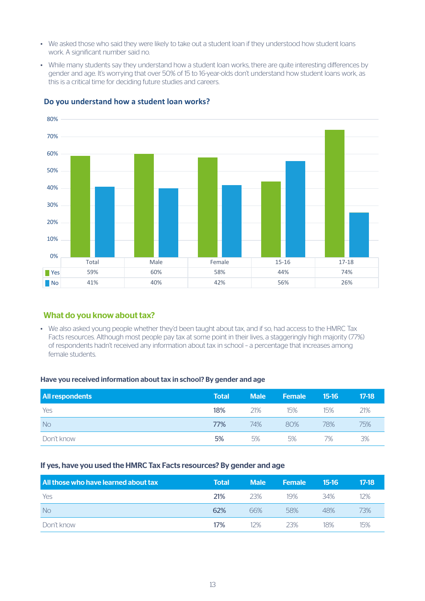- We asked those who said they were likely to take out a student loan if they understood how student loans work. A significant number said no.
- While many students say they understand how a student loan works, there are quite interesting differences by gender and age. It's worrying that over 50% of 15 to 16-year-olds don't understand how student loans work, as this is a critical time for deciding future studies and careers.



#### **Do you understand how a student loan works?**

#### What do you know about tax?

• We also asked young people whether they'd been taught about tax, and if so, had access to the HMRC Tax Facts resources. Although most people pay tax at some point in their lives, a staggeringly high majority (77%) of respondents hadn't received any information about tax in school – a percentage that increases among female students.

#### Have you received information about tax in school? By gender and age

| <b>All respondents</b> | <b>Total</b> | <b>Male</b> | <b>Female</b> | $15-16$ | $17-18$ |
|------------------------|--------------|-------------|---------------|---------|---------|
| Yes                    | 18%          | 21%         | 15%           | 15%     | 21%     |
| <b>No</b>              | 77%          | 74%         | 80%           | 78%     | 75%     |
| Don't know             | 5%           | 5%          | 5%            | 7%      | 3%      |

#### If yes, have you used the HMRC Tax Facts resources? By gender and age

| All those who have learned about tax | Total | <b>Male</b> | <b>Female</b> | $15-16$ | $17-18$ |
|--------------------------------------|-------|-------------|---------------|---------|---------|
| Yes                                  | 21%   | 23%         | 19%           | 34%     | 12%     |
| <b>No</b>                            | 62%   | 66%         | 58%           | 48%     | 73%     |
| Don't know                           | 17%   | 12%         | 23%           | 18%     | 15%     |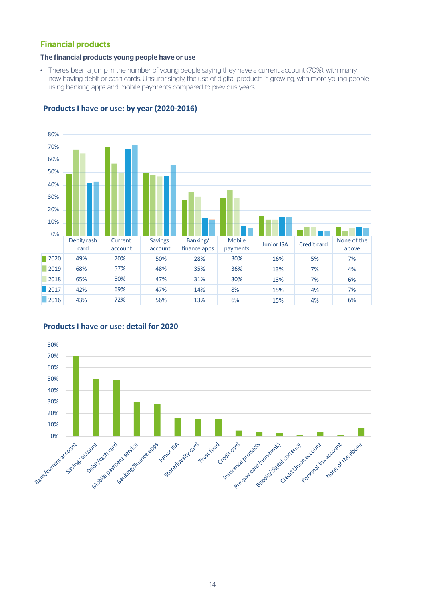#### Financial products

#### The financial products young people have or use

• There's been a jump in the number of young people saying they have a current account (70%), with many now having debit or cash cards. Unsurprisingly, the use of digital products is growing, with more young people using banking apps and mobile payments compared to previous years.



#### **Products I have or use: by year (2020-2016)**



#### **Products I have or use: detail for 2020**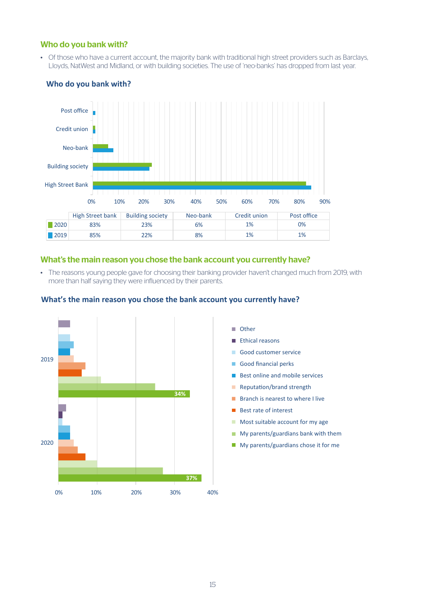#### Who do you bank with?

• Of those who have a current account, the majority bank with traditional high street providers such as Barclays, Lloyds, NatWest and Midland, or with building societies. The use of 'neo-banks' has dropped from last year.



#### **Who do you bank with?**

#### What's the main reason you chose the bank account you currently have?

• The reasons young people gave for choosing their banking provider haven't changed much from 2019, with more than half saying they were influenced by their parents.



#### **What's the main reason you chose the bank account you currently have?**

- **Ethical Other**
- **Ethical reasons**
- **Good customer service**
- Good financial perks
- **Reputation** Best online and mobile services
- **Reputation/brand strength**
- **Branch is nearest to where I live**
- $\blacksquare$  Best rate of interest
- **Most suitable account for my age**
- $\blacksquare$  My parents/guardians bank with them
	- **My parents/guardians chose it for me**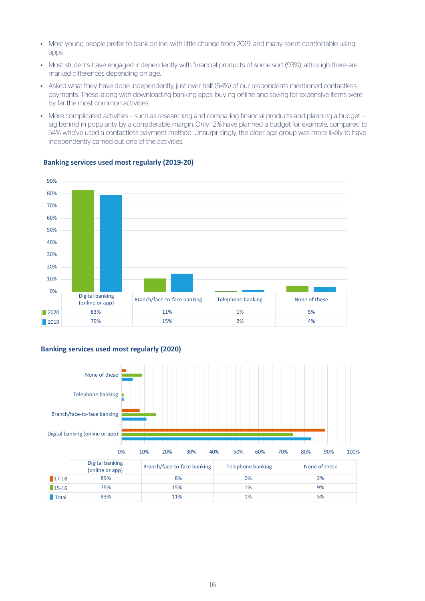- Most young people prefer to bank online, with little change from 2019, and many seem comfortable using apps.
- Most students have engaged independently with financial products of some sort (93%), although there are marked differences depending on age.
- Asked what they have done independently, just over half (54%) of our respondents mentioned contactless payments. These, along with downloading banking apps, buying online and saving for expensive items were by far the most common activities.
- More complicated activities such as researching and comparing financial products and planning a budget lag behind in popularity by a considerable margin. Only 12% have planned a budget for example, compared to 54% who've used a contactless payment method. Unsurprisingly, the older age group was more likely to have independently carried out one of the activities.



#### **Banking services used most regularly (2019-20)**

#### **Banking services used most regularly (2020)**

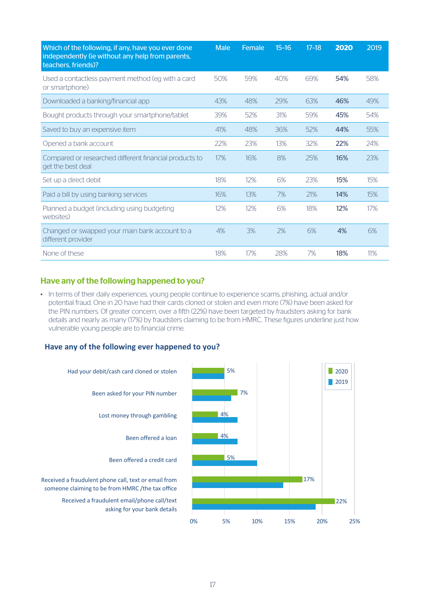| Which of the following, if any, have you ever done<br>independently (ie without any help from parents,<br>teachers, friends)? | <b>Male</b> | Female | $15 - 16$ | $17-18$ | 2020 | 2019 |
|-------------------------------------------------------------------------------------------------------------------------------|-------------|--------|-----------|---------|------|------|
| Used a contactless payment method (eg with a card<br>or smartphone)                                                           | 50%         | 59%    | 40%       | 69%     | 54%  | 58%  |
| Downloaded a banking/financial app                                                                                            | 43%         | 48%    | 29%       | 63%     | 46%  | 49%  |
| Bought products through your smartphone/tablet                                                                                | 39%         | 52%    | 31%       | 59%     | 45%  | 54%  |
| Saved to buy an expensive item                                                                                                | 41%         | 48%    | 36%       | 52%     | 44%  | 55%  |
| Opened a bank account                                                                                                         | 22%         | 23%    | 13%       | 32%     | 22%  | 24%  |
| Compared or researched different financial products to<br>get the best deal                                                   | 17%         | 16%    | 8%        | 25%     | 16%  | 23%  |
| Set up a direct debit                                                                                                         | 18%         | 12%    | 6%        | 23%     | 15%  | 15%  |
| Paid a bill by using banking services                                                                                         | 16%         | 13%    | 7%        | 21%     | 14%  | 15%  |
| Planned a budget (including using budgeting<br>websites)                                                                      | 12%         | 12%    | 6%        | 18%     | 12%  | 17%  |
| Changed or swapped your main bank account to a<br>different provider                                                          | 4%          | 3%     | 2%        | 6%      | 4%   | 6%   |
| None of these                                                                                                                 | 18%         | 17%    | 28%       | 7%      | 18%  | 11%  |

#### Have any of the following happened to you?

• In terms of their daily experiences, young people continue to experience scams, phishing, actual and/or potential fraud. One in 20 have had their cards cloned or stolen and even more (7%) have been asked for the PIN numbers. Of greater concern, over a fifth (22%) have been targeted by fraudsters asking for bank details and nearly as many (17%) by fraudsters claiming to be from HMRC. These figures underline just how vulnerable young people are to financial crime.

#### **Have any of the following ever happened to you?**

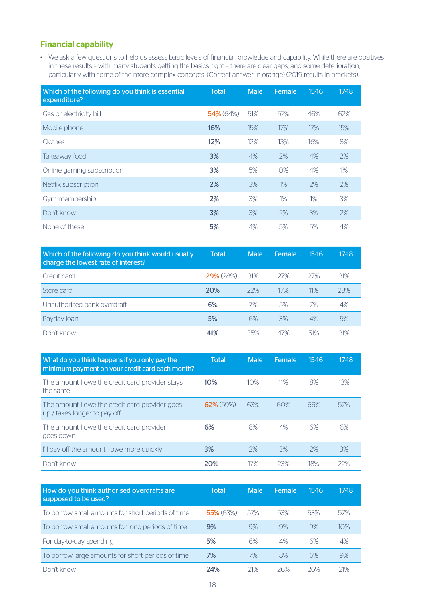#### Financial capability

• We ask a few questions to help us assess basic levels of financial knowledge and capability. While there are positives in these results – with many students getting the basics right – there are clear gaps, and some deterioration, particularly with some of the more complex concepts. (Correct answer in orange) (2019 results in brackets).

| Which of the following do you think is essential<br>expenditure? | <b>Total</b> | <b>Male</b> | Female | $15-16$ | $17-18$ |
|------------------------------------------------------------------|--------------|-------------|--------|---------|---------|
| Gas or electricity bill                                          | 54% (64%)    | 51%         | 57%    | 46%     | 62%     |
| Mobile phone                                                     | 16%          | 15%         | 17%    | 17%     | 15%     |
| Clothes                                                          | 12%          | 12%         | 13%    | 16%     | 8%      |
| Takeaway food                                                    | 3%           | 4%          | 2%     | 4%      | 2%      |
| Online gaming subscription                                       | 3%           | 5%          | $O\%$  | 4%      | $1\%$   |
| Netflix subscription                                             | 2%           | 3%          | 1%     | 2%      | 2%      |
| Gym membership                                                   | 2%           | 3%          | 1%     | 1%      | 3%      |
| Don't know                                                       | 3%           | 3%          | 2%     | 3%      | 2%      |
| None of these                                                    | 5%           | 4%          | 5%     | 5%      | 4%      |

| Which of the following do you think would usually<br>charge the lowest rate of interest? | <b>Total</b>     | <b>Male</b> | Female | $15-16$ | $17-18$ |
|------------------------------------------------------------------------------------------|------------------|-------------|--------|---------|---------|
| Credit card                                                                              | <b>29%</b> (28%) | 31%         | 27%    | 27%     | 31%     |
| Store card                                                                               | 20%              | 22%         | 17%    | 11%     | 28%     |
| Unauthorised bank overdraft                                                              | 6%               | 7%          | 5%     | 7%      | 4%      |
| Payday loan                                                                              | 5%               | 6%          | 3%     | 4%      | 5%      |
| Don't know                                                                               | 41%              | 35%         | 47%    | 51%     | 31%     |

| What do you think happens if you only pay the<br>minimum payment on your credit card each month? | Total        | <b>Male</b> | Female. | $15-16$ | $17-18$ |
|--------------------------------------------------------------------------------------------------|--------------|-------------|---------|---------|---------|
| The amount I owe the credit card provider stays<br>the same                                      | 10%          | 10%         | 11%     | 8%      | 13%     |
| The amount I owe the credit card provider goes<br>up / takes longer to pay off                   | $62\%$ (59%) | 63%         | 60%     | 66%     | 57%     |
| The amount I owe the credit card provider<br>goes down                                           | 6%           | 8%          | 4%      | 6%      | 6%      |
| I'll pay off the amount I owe more quickly                                                       | 3%           | 2%          | 3%      | 2%      | 3%      |
| Don't know                                                                                       | 20%          | 17%         | 23%     | 18%     | 22%     |

| How do you think authorised overdrafts are<br>supposed to be used? | Total        | <b>Male</b> | Female | 15-16 | $17-18$ |
|--------------------------------------------------------------------|--------------|-------------|--------|-------|---------|
| To borrow small amounts for short periods of time                  | $55\%$ (63%) | 57%         | 53%    | 53%   | 57%     |
| To borrow small amounts for long periods of time                   | 9%           | 9%          | 9%     | 9%    | 10%     |
| For day-to-day spending                                            | 5%           | 6%          | 4%     | 6%    | 4%      |
| To borrow large amounts for short periods of time                  | 7%           | 7%          | 8%     | 6%    | 9%      |
| Don't know                                                         | 24%          | 21%         | 26%    | 26%   | 21%     |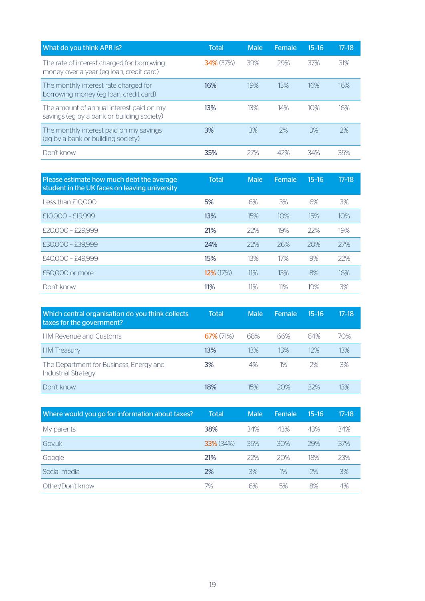| What do you think APR is?                                                              | <b>Total</b> | <b>Male</b> | Female | $15 - 16$ | $17-18$ |
|----------------------------------------------------------------------------------------|--------------|-------------|--------|-----------|---------|
| The rate of interest charged for borrowing<br>money over a year (eq loan, credit card) | $34\%$ (37%) | 39%         | 29%    | 37%       | 31%     |
| The monthly interest rate charged for<br>borrowing money (eg loan, credit card)        | 16%          | 19%         | 13%    | 16%       | 16%     |
| The amount of annual interest paid on my<br>savings (eg by a bank or building society) | 13%          | 13%         | 14%    | 10%       | 16%     |
| The monthly interest paid on my savings<br>(eq by a bank or building society)          | 3%           | 3%          | 2%     | 3%        | 2%      |
| Don't know                                                                             | 35%          | 77%         | 42%    | 34%       | 35%     |

| Please estimate how much debt the average<br>student in the UK faces on leaving university | <b>Total</b> | <b>Male</b> | Female | $15 - 16$ | $17 - 18$ |
|--------------------------------------------------------------------------------------------|--------------|-------------|--------|-----------|-----------|
| Less than £10,000                                                                          | 5%           | 6%          | 3%     | 6%        | 3%        |
| £10,000 - £19,999                                                                          | 13%          | 15%         | 10%    | 15%       | 10%       |
| £20.000 - £29.999                                                                          | 21%          | 22%         | 19%    | 22%       | 19%       |
| £30.000 - £39.999                                                                          | 24%          | 22%         | 26%    | 20%       | 27%       |
| £40,000 - £49,999                                                                          | 15%          | 13%         | 17%    | 9%        | 22%       |
| £50,000 or more                                                                            | $12\%$ (17%) | 11%         | 13%    | 8%        | 16%       |
| Don't know                                                                                 | 11%          | 11%         | 11%    | 19%       | 3%        |

| Which central organisation do you think collects<br>taxes for the government? | <b>Total</b> | <b>Male</b> | Female | 15-16 | $17-18$ |
|-------------------------------------------------------------------------------|--------------|-------------|--------|-------|---------|
| <b>HM Revenue and Customs</b>                                                 | $67\%$ (71%) | 68%         | 66%    | 64%   | 70%     |
| <b>HM</b> Treasury                                                            | 13%          | 13%         | 13%    | 12%   | 13%     |
| The Department for Business, Energy and<br><b>Industrial Strategy</b>         | 3%           | 4%          | 1%     | 2%    | 3%      |
| Don't know                                                                    | 18%          | 15%         | 20%    | 22%   | 13%     |

| Where would you go for information about taxes? | <b>Total</b>     | <b>Male</b> | Female | $15-16$ | $17-18$ |
|-------------------------------------------------|------------------|-------------|--------|---------|---------|
| My parents                                      | 38%              | 34%         | 43%    | 43%     | 34%     |
| Govuk                                           | <b>33%</b> (34%) | 35%         | 30%    | 29%     | 37%     |
| Google                                          | 21%              | 22%         | 20%    | 18%     | 23%     |
| Social media                                    | 2%               | 3%          | 1%     | 2%      | 3%      |
| Other/Don't know                                | 7%               | 6%          | 5%     | 8%      | 4%      |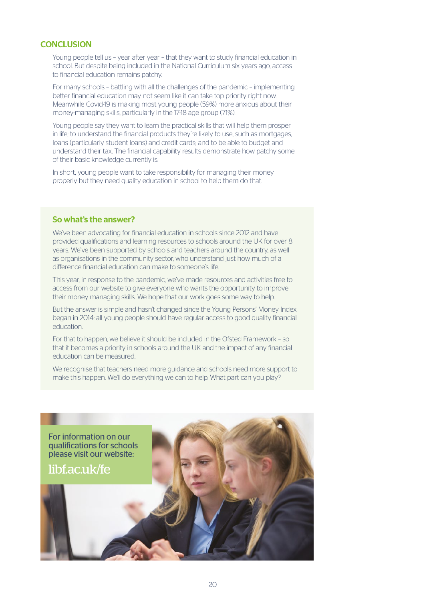#### **CONCLUSION**

Young people tell us – year after year – that they want to study financial education in school. But despite being included in the National Curriculum six years ago, access to financial education remains patchy.

For many schools – battling with all the challenges of the pandemic – implementing better financial education may not seem like it can take top priority right now. Meanwhile Covid-19 is making most young people (59%) more anxious about their money-managing skills, particularly in the 17-18 age group (71%).

Young people say they want to learn the practical skills that will help them prosper in life; to understand the financial products they're likely to use, such as mortgages, loans (particularly student loans) and credit cards; and to be able to budget and understand their tax. The financial capability results demonstrate how patchy some of their basic knowledge currently is.

In short, young people want to take responsibility for managing their money properly but they need quality education in school to help them do that.

#### So what's the answer?

We've been advocating for financial education in schools since 2012 and have provided qualifications and learning resources to schools around the UK for over 8 years. We've been supported by schools and teachers around the country, as well as organisations in the community sector, who understand just how much of a difference financial education can make to someone's life.

This year, in response to the pandemic, we've made resources and activities free to access from our website to give everyone who wants the opportunity to improve their money managing skills. We hope that our work goes some way to help.

But the answer is simple and hasn't changed since the Young Persons' Money Index began in 2014: all young people should have regular access to good quality financial education.

For that to happen, we believe it should be included in the Ofsted Framework – so that it becomes a priority in schools around the UK and the impact of any financial education can be measured.

We recognise that teachers need more guidance and schools need more support to make this happen. We'll do everything we can to help. What part can you play?

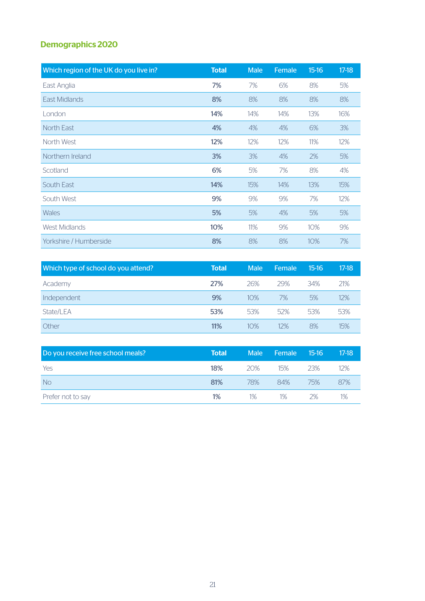### Demographics 2020

| Which region of the UK do you live in? | <b>Total</b> | <b>Male</b> | Female | $15-16$ | $17-18$ |
|----------------------------------------|--------------|-------------|--------|---------|---------|
| East Anglia                            | 7%           | 7%          | 6%     | 8%      | 5%      |
| East Midlands                          | 8%           | 8%          | 8%     | 8%      | 8%      |
| London                                 | 14%          | 14%         | 14%    | 13%     | 16%     |
| North East                             | 4%           | 4%          | 4%     | 6%      | 3%      |
| North West                             | 12%          | 12%         | 12%    | 11%     | 12%     |
| Northern Ireland                       | 3%           | 3%          | 4%     | 2%      | 5%      |
| Scotland                               | 6%           | 5%          | 7%     | 8%      | 4%      |
| South East                             | 14%          | 15%         | 14%    | 13%     | 15%     |
| South West                             | 9%           | 9%          | 9%     | 7%      | 12%     |
| <b>Wales</b>                           | 5%           | 5%          | 4%     | 5%      | 5%      |
| <b>West Midlands</b>                   | 10%          | 11%         | 9%     | 10%     | 9%      |
| Yorkshire / Humberside                 | 8%           | 8%          | 8%     | 10%     | 7%      |

| Which type of school do you attend? | <b>Total</b> | <b>Male</b> | Female | 15-16 | $17-18$ |
|-------------------------------------|--------------|-------------|--------|-------|---------|
| Academy                             | 27%          | 26%         | 29%    | 34%   | 21%     |
| Independent                         | 9%           | 10%         | 7%     | 5%    | 12%     |
| State/LEA                           | 53%          | 53%         | 52%    | 53%   | 53%     |
| Other                               | 11%          | 10%         | 12%    | 8%    | 15%     |

| Do you receive free school meals? | <b>Total</b> | <b>Male</b> | Female | $15-16$ | $17-18$ |
|-----------------------------------|--------------|-------------|--------|---------|---------|
| Yes                               | 18%          | 20%         | 15%    | 23%     | 12%     |
| <b>No</b>                         | 81%          | 78%         | 84%    | 75%     | 87%     |
| Prefer not to say                 | $1\%$        | $1\%$       | 1%     | 2%      | 1%      |